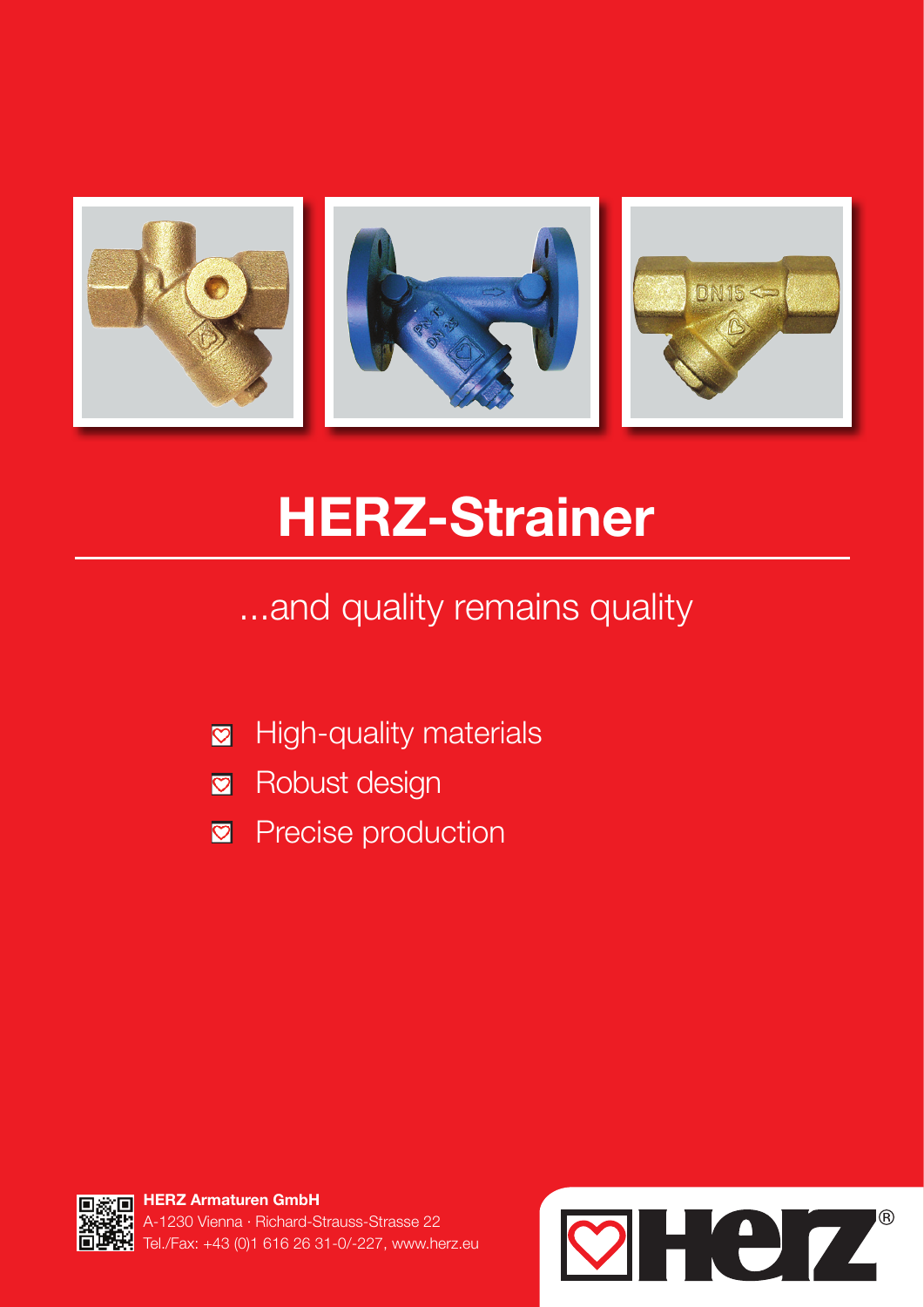

# HERZ-Strainer

...and quality remains quality

- High-quality materials  $\bullet$
- **R** Robust design
- $\heartsuit$ Precise production



HERZ Armaturen GmbH 230 Vienna · Richard-Strauss-Strasse 22 Tel./Fax: +43 (0)1 616 26 31-0/-227, www.herz.eu